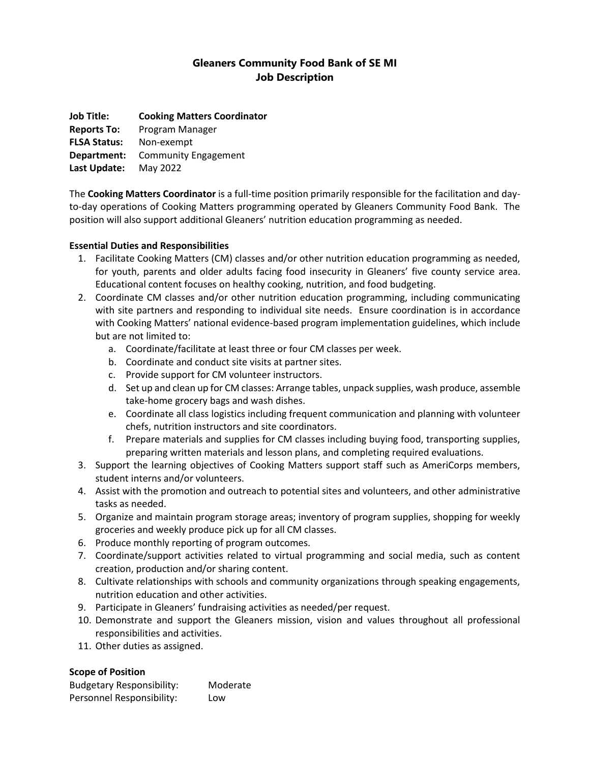# **Gleaners Community Food Bank of SE MI Job Description**

**Job Title: Cooking Matters Coordinator Reports To:** Program Manager **FLSA Status:** Non-exempt **Department:** Community Engagement **Last Update:** May 2022

The **Cooking Matters Coordinator** is a full-time position primarily responsible for the facilitation and dayto-day operations of Cooking Matters programming operated by Gleaners Community Food Bank. The position will also support additional Gleaners' nutrition education programming as needed.

### **Essential Duties and Responsibilities**

- 1. Facilitate Cooking Matters (CM) classes and/or other nutrition education programming as needed, for youth, parents and older adults facing food insecurity in Gleaners' five county service area. Educational content focuses on healthy cooking, nutrition, and food budgeting.
- 2. Coordinate CM classes and/or other nutrition education programming, including communicating with site partners and responding to individual site needs. Ensure coordination is in accordance with Cooking Matters' national evidence-based program implementation guidelines, which include but are not limited to:
	- a. Coordinate/facilitate at least three or four CM classes per week.
	- b. Coordinate and conduct site visits at partner sites.
	- c. Provide support for CM volunteer instructors.
	- d. Set up and clean up for CM classes: Arrange tables, unpack supplies, wash produce, assemble take-home grocery bags and wash dishes.
	- e. Coordinate all class logistics including frequent communication and planning with volunteer chefs, nutrition instructors and site coordinators.
	- f. Prepare materials and supplies for CM classes including buying food, transporting supplies, preparing written materials and lesson plans, and completing required evaluations.
- 3. Support the learning objectives of Cooking Matters support staff such as AmeriCorps members, student interns and/or volunteers.
- 4. Assist with the promotion and outreach to potential sites and volunteers, and other administrative tasks as needed.
- 5. Organize and maintain program storage areas; inventory of program supplies, shopping for weekly groceries and weekly produce pick up for all CM classes.
- 6. Produce monthly reporting of program outcomes.
- 7. Coordinate/support activities related to virtual programming and social media, such as content creation, production and/or sharing content.
- 8. Cultivate relationships with schools and community organizations through speaking engagements, nutrition education and other activities.
- 9. Participate in Gleaners' fundraising activities as needed/per request.
- 10. Demonstrate and support the Gleaners mission, vision and values throughout all professional responsibilities and activities.
- 11. Other duties as assigned.

## **Scope of Position**

| <b>Budgetary Responsibility:</b> | Moderate |
|----------------------------------|----------|
| Personnel Responsibility:        | Low      |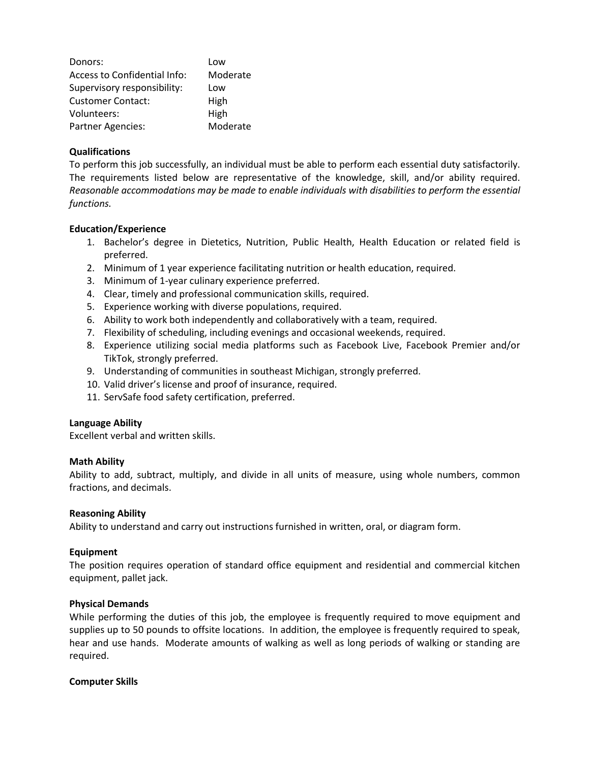| Donors:                      | Low      |
|------------------------------|----------|
| Access to Confidential Info: | Moderate |
| Supervisory responsibility:  | Low      |
| <b>Customer Contact:</b>     | High     |
| Volunteers:                  | High     |
| <b>Partner Agencies:</b>     | Moderate |

#### **Qualifications**

To perform this job successfully, an individual must be able to perform each essential duty satisfactorily. The requirements listed below are representative of the knowledge, skill, and/or ability required. *Reasonable accommodations may be made to enable individuals with disabilities to perform the essential functions.*

#### **Education/Experience**

- 1. Bachelor's degree in Dietetics, Nutrition, Public Health, Health Education or related field is preferred.
- 2. Minimum of 1 year experience facilitating nutrition or health education, required.
- 3. Minimum of 1-year culinary experience preferred.
- 4. Clear, timely and professional communication skills, required.
- 5. Experience working with diverse populations, required.
- 6. Ability to work both independently and collaboratively with a team, required.
- 7. Flexibility of scheduling, including evenings and occasional weekends, required.
- 8. Experience utilizing social media platforms such as Facebook Live, Facebook Premier and/or TikTok, strongly preferred.
- 9. Understanding of communities in southeast Michigan, strongly preferred.
- 10. Valid driver's license and proof of insurance, required.
- 11. ServSafe food safety certification, preferred.

#### **Language Ability**

Excellent verbal and written skills.

#### **Math Ability**

Ability to add, subtract, multiply, and divide in all units of measure, using whole numbers, common fractions, and decimals.

#### **Reasoning Ability**

Ability to understand and carry out instructions furnished in written, oral, or diagram form.

#### **Equipment**

The position requires operation of standard office equipment and residential and commercial kitchen equipment, pallet jack.

#### **Physical Demands**

While performing the duties of this job, the employee is frequently required to move equipment and supplies up to 50 pounds to offsite locations. In addition, the employee is frequently required to speak, hear and use hands. Moderate amounts of walking as well as long periods of walking or standing are required.

#### **Computer Skills**